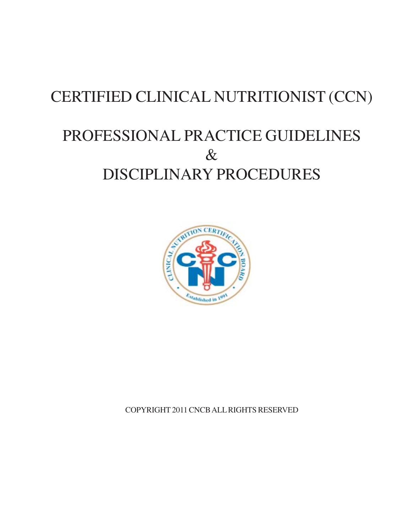# **CERTIFIED CLINICAL NUTRITIONIST (CCN)**

# PROFESSIONAL PRACTICE GUIDELINES  $\&$ DISCIPLINARY PROCEDURES



COPYRIGHT 2011 CNCB ALL RIGHTS RESERVED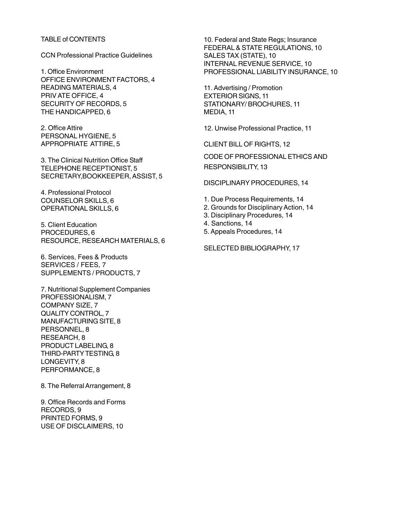#### TABLE of CONTENTS

CCN Professional Practice Guidelines

1. Office Environment OFFICE ENVIRONMENT FACTORS, 4 READING MATERIALS, 4 PRIV ATE OFFICE, 4 SECURITY OF RECORDS, 5 THE HANDICAPPED, 6

2. Office Attire PERSONAL HYGIENE, 5 APPROPRIATE ATTlRE, 5

3. The Clinical Nutrition Office Staff TELEPHONE RECEPTIONIST, 5 SECRETARY,BOOKKEEPER, ASSIST, 5

4. Professional Protocol COUNSELOR SKILLS, 6 OPERATIONAL SKILLS, 6

5. Client Education PROCEDURES, 6 RESOURCE, RESEARCH MATERIALS, 6

6. Services, Fees & Products SERVICES / FEES, 7 SUPPLEMENTS / PRODUCTS, 7

7. Nutritional Supplement Companies PROFESSIONALISM, 7 COMPANY SIZE, 7 QUALITY CONTROL, 7 MANUFACTURING SITE, 8 PERSONNEL, 8 RESEARCH, 8 PRODUCT LABELING, 8 THIRD-PARTY TESTING, 8 LONGEVITY, 8 PERFORMANCE, 8

8. The Referral Arrangement, 8

9. Office Records and Forms RECORDS, 9 PRINTED FORMS, 9 USE OF DISCLAIMERS, 10

10. Federal and State Regs; Insurance FEDERAL & STATE REGULATIONS, 10 SALES TAX (STATE), 10 INTERNAL REVENUE SERVICE, 10 PROFESSIONAL LIABILITY INSURANCE, 10

11. Advertising / Promotion EXTERIOR SIGNS, 11 STATIONARY/ BROCHURES, 11 MEDIA, 11

12. Unwise Professional Practice, 11

CLIENT BILL OF RIGHTS, 12

CODE OF PROFESSIONAL ETHICS AND RESPONSIBILITY, 13

DISCIPLINARY PROCEDURES, 14

- 1. Due Process Requirements, 14
- 2. Grounds for Disciplinary Action, 14
- 3. Disciplinary Procedures, 14
- 4. Sanctions, 14
- 5. Appeals Procedures, 14

SELECTED BIBLIOGRAPHY, 17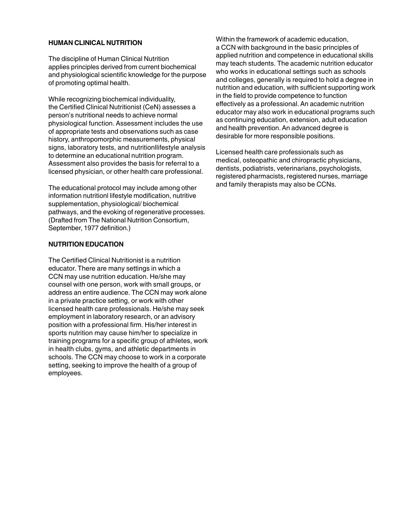### **HUMAN CLINICAL NUTRITION**

The discipline of Human Clinical Nutrition applies principles derived from current biochemical and physiological scientific knowledge for the purpose of promoting optimal health.

While recognizing biochemical individuality, the Certified Clinical Nutritionist (CeN) assesses a person's nutritional needs to achieve normal physiological function. Assessment includes the use of appropriate tests and observations such as case history, anthropomorphic measurements, physical signs, laboratory tests, and nutritionllifestyle analysis to determine an educational nutrition program. Assessment also provides the basis for referral to a licensed physician, or other health care professional.

The educational protocol may include among other information nutritionl lifestyle modification, nutritive supplementation, physiological/ biochemical pathways, and the evoking of regenerative processes. (Drafted from The National Nutrition Consortium, September, 1977 definition.)

## **NUTRITION EDUCATION**

The Certified Clinical Nutritionist is a nutrition educator. There are many settings in which a CCN may use nutrition education. He/she may counsel with one person, work with small groups, or address an entire audience. The CCN may work alone in a private practice setting, or work with other licensed health care professionals. He/she may seek employment in laboratory research, or an advisory position with a professional firm. His/her interest in sports nutrition may cause him/her to specialize in training programs for a specific group of athletes, work in health clubs, gyms, and athletic departments in schools. The CCN may choose to work in a corporate setting, seeking to improve the health of a group of employees.

Within the framework of academic education, a CCN with background in the basic principles of applied nutrition and competence in educational skills may teach students. The academic nutrition educator who works in educational settings such as schools and colleges, generally is required to hold a degree in nutrition and education, with sufficient supporting work in the field to provide competence to function effectively as a professional. An academic nutrition educator may also work in educational programs such as continuing education, extension, adult education and health prevention. An advanced degree is desirable for more responsible positions.

Licensed health care professionals such as medical, osteopathic and chiropractic physicians, dentists, podiatrists, veterinarians, psychologists, registered pharmacists, registered nurses, marriage and family therapists may also be CCNs.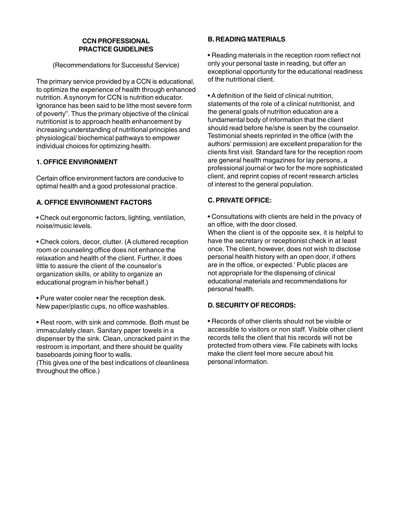# **CCN PROFESSIONAL PRACTICE GUIDELINES**

(Recommendations for Successful Service)

The primary service provided by a CCN is educational, to optimize the experience of health through enhanced nutrition. A synonym for CCN is nutrition educator. Ignorance has been said to be lithe most severe form of poverty". Thus the primary objective of the clinical nutritionist is to approach health enhancement by increasing understanding of nutritional principles and physiological/ biochemical pathways to empower individual choices for optimizing health.

# **1. OFFICE ENVIRONMENT**

Certain office environment factors are conducive to optimal health and a good professional practice.

# **A. OFFICE ENVIRONMENT FACTORS**

• Check out ergonomic factors, lighting, ventilation, noise/music levels.

• Check colors, decor, clutter. (A cluttered reception room or counseling office does not enhance the relaxation and health of the client. Further, it does little to assure the client of the counselor's organization skills, or ability to organize an educational program in his/her behalf.)

• Pure water cooler near the reception desk. New paper/plastic cups, no office washables.

• Rest room, with sink and commode. Both must be immaculately clean. Sanitary paper towels in a dispenser by the sink. Clean, uncracked paint in the restroom is important, and there should be quality baseboards joining floor to walls.

(This gives one of the best indications of cleanliness throughout the office.)

# **B. READING MATERIALS**

• Reading materials in the reception room reflect not only your personal taste in reading, but offer an exceptional opportunity for the educational readiness of the nutritional client.

• A definition of the field of clinical nutrition, statements of the role of a clinical nutritionist, and the general goals of nutrition education are a fundamental body of information that the client should read before he/she is seen by the counselor. Testimonial sheets reprinted in the office (with the authors' permission) are excellent preparation for the clients first visit. Standard fare for the reception room are general health magazines for lay persons, a professional journal or two for the more sophisticated client, and reprint copies of recent research articles of interest to the general population.

# **C. PRIVATE OFFICE:**

• Consultations with clients are held in the privacy of an office, with the door closed.

When the client is of the opposite sex, it is helpful to have the secretary or receptionist check in at least once. The client, however, does not wish to disclose personal health history with an open door, if others are in the office, or expected.' Public places are not appropriate for the dispensing of clinical educational materials and recommendations for personal health.

# **D. SECURITY OF RECORDS:**

• Records of other clients should not be visible or accessible to visitors or non staff. Visible other client records tells the client that his records will not be protected from others view. File cabinets with locks make the client feel more secure about his personal information.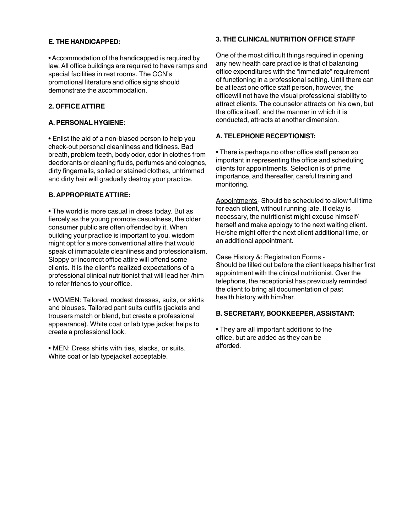## **E. THE HANDICAPPED:**

• Accommodation of the handicapped is required by law. All office buildings are required to have ramps and special facilities in rest rooms. The CCN's promotional literature and office signs should demonstrate the accommodation.

# **2. OFFICE ATTIRE**

## **A. PERSONAL HYGIENE:**

• Enlist the aid of a non-biased person to help you check-out personal cleanliness and tidiness. Bad breath, problem teeth, body odor, odor in clothes from deodorants or cleaning fluids, perfumes and colognes, dirty fingernails, soiled or stained clothes, untrimmed and dirty hair will gradually destroy your practice.

## **B. APPROPRIATE ATTIRE:**

• The world is more casual in dress today. But as fiercely as the young promote casualness, the older consumer public are often offended by it. When building your practice is important to you, wisdom might opt for a more conventional attire that would speak of immaculate cleanliness and professionalism. Sloppy or incorrect office attire will offend some clients. It is the client's realized expectations of a professional clinical nutritionist that will lead her /him to refer friends to your office.

• WOMEN: Tailored, modest dresses, suits, or skirts and blouses. Tailored pant suits outfits (jackets and trousers match or blend, but create a professional appearance). White coat or lab type jacket helps to create a professional look.

• MEN: Dress shirts with ties, slacks, or suits. White coat or lab typejacket acceptable.

# **3. THE CLINICAL NUTRITION OFFICE STAFF**

One of the most difficult things required in opening any new health care practice is that of balancing office expenditures with the "immediate" requirement of functioning in a professional setting. Until there can be at least one office staff person, however, the officewill not have the visual professional stability to attract clients. The counselor attracts on his own, but the office itself, and the manner in which it is conducted, attracts at another dimension.

# **A. TELEPHONE RECEPTIONIST:**

• There is perhaps no other office staff person so important in representing the office and scheduling clients for appointments. Selection is of prime importance, and thereafter, careful training and monitoring.

Appointments- Should be scheduled to allow full time for each client, without running late. If delay is necessary, the nutritionist might excuse himself/ herself and make apology to the next waiting client. He/she might offer the next client additional time, or an additional appointment.

Case History &: Registration Forms -

Should be filled out before the client keeps hislher first appointment with the clinical nutritionist. Over the telephone, the receptionist has previously reminded the client to bring all documentation of past health history with him/her.

# **B. SECRETARY, BOOKKEEPER, ASSISTANT:**

• They are all important additions to the office, but are added as they can be afforded.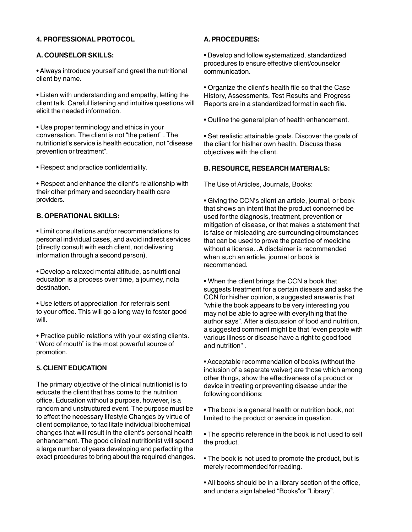# **4. PROFESSIONAL PROTOCOL**

# **A. COUNSELOR SKILLS:**

• Always introduce yourself and greet the nutritional client by name.

• Listen with understanding and empathy, letting the client talk. Careful listening and intuitive questions will elicit the needed information.

• Use proper terminology and ethics in your conversation. The client is not "the patient" . The nutritionist's service is health education, not "disease prevention or treatment".

• Respect and practice confidentiality.

• Respect and enhance the client's relationship with their other primary and secondary health care providers.

# **B. OPERATIONAL SKILLS:**

• Limit consultations and/or recommendations to personal individual cases, and avoid indirect services (directly consult with each client, not delivering information through a second person).

• Develop a relaxed mental attitude, as nutritional education is a process over time, a journey, nota destination.

• Use letters of appreciation .for referrals sent to your office. This will go a long way to foster good will.

• Practice public relations with your existing clients. "Word of mouth" is the most powerful source of promotion.

# **5. CLIENT EDUCATION**

The primary objective of the clinical nutritionist is to educate the client that has come to the nutrition office. Education without a purpose, however, is a random and unstructured event. The purpose must be to effect the necessary lifestyle Changes by virtue of client compliance, to facilitate individual biochemical changes that will result in the client's personal health enhancement. The good clinical nutritionist will spend a large number of years developing and perfecting the exact procedures to bring about the required changes.

# **A. PROCEDURES:**

• Develop and follow systematized, standardized procedures to ensure effective client/counselor communication.

• Organize the client's health file so that the Case History, Assessments, Test Results and Progress Reports are in a standardized format in each file.

• Outline the general plan of health enhancement.

• Set realistic attainable goals. Discover the goals of the client for hislher own health. Discuss these objectives with the client.

## **B. RESOURCE, RESEARCH MATERIALS:**

The Use of Articles, Journals, Books:

• Giving the CCN's client an article, journal, or book that shows an intent that the product concerned be used for the diagnosis, treatment, prevention or mitigation of disease, or that makes a statement that is false or misleading are surrounding circumstances that can be used to prove the practice of medicine without a license. .A disclaimer is recommended when such an article, journal or book is recommended.

• When the client brings the CCN a book that suggests treatment for a certain disease and asks the CCN for hislher opinion, a suggested answer is that "while the book appears to be very interesting you may not be able to agree with everything that the author says". After a discussion of food and nutrition, a suggested comment might be that "even people with various illness or disease have a right to good food and nutrition" .

• Acceptable recommendation of books (without the inclusion of a separate waiver) are those which among other things, show the effectiveness of a product or device in treating or preventing disease under the following conditions:

• The book is a general health or nutrition book, not limited to the product or service in question.

• The specific reference in the book is not used to sell the product.

• The book is not used to promote the product, but is merely recommended for reading.

• All books should be in a library section of the office, and under a sign labeled "Books"or "Library".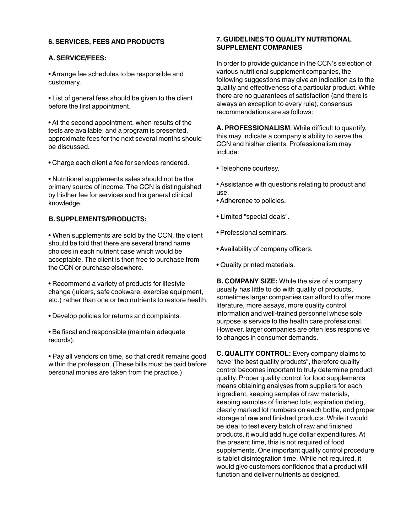## **6. SERVICES, FEES AND PRODUCTS**

#### **A. SERVICE/FEES:**

• Arrange fee schedules to be responsible and customary.

• List of general fees should be given to the client before the first appointment.

• At the second appointment, when results of the tests are available, and a program is presented, approximate fees for the next several months should be discussed.

• Charge each client a fee for services rendered.

• Nutritional supplements sales should not be the primary source of income. The CCN is distinguished by hislher fee for services and his general clinical knowledge.

# **B. SUPPLEMENTS/PRODUCTS:**

• When supplements are sold by the CCN, the client should be told that there are several brand name choices in each nutrient case which would be acceptable. The client is then free to purchase from the CCN or purchase elsewhere.

• Recommend a variety of products for lifestyle change (juicers, safe cookware, exercise equipment, etc.) rather than one or two nutrients to restore health.

• Develop policies for returns and complaints.

• Be fiscal and responsible (maintain adequate records).

• Pay all vendors on time, so that credit remains good within the profession. (These bills must be paid before personal monies are taken from the practice.)

# **7. GUIDELINES TO QUALITY NUTRITIONAL SUPPLEMENT COMPANIES**

In order to provide guidance in the CCN's selection of various nutritional supplement companies, the following suggestions may give an indication as to the quality and effectiveness of a particular product. While there are no guarantees of satisfaction (and there is always an exception to every rule), consensus recommendations are as follows:

**A. PROFESSIONALISM**: While difficult to quantify, this may indicate a company's ability to serve the CCN and hislher clients. Professionalism may include:

- Telephone courtesy.
- Assistance with questions relating to product and use.
- Adherence to policies.
- Limited "special deals".
- Professional seminars.
- Availability of company officers.
- Quality printed materials.

**B. COMPANY SIZE:** While the size of a company usually has little to do with quality of products, sometimes larger companies can afford to offer more literature, more assays, more quality control information and well-trained personnel whose sole purpose is service to the health care professional. However, larger companies are often less responsive to changes in consumer demands.

**C. QUALITY CONTROL:** Every company claims to have "the best quality products", therefore quality control becomes important to truly determine product quality. Proper quality control for food supplements means obtaining analyses from suppliers for each ingredient, keeping samples of raw materials, keeping samples of finished lots, expiration dating, clearly marked lot numbers on each bottle, and proper storage of raw and finished products. While it would be ideal to test every batch of raw and finished products, it would add huge dollar expenditures. At the present time, this is not required of food supplements. One important quality control procedure is tablet disintegration time. While not required, it would give customers confidence that a product will function and deliver nutrients as designed.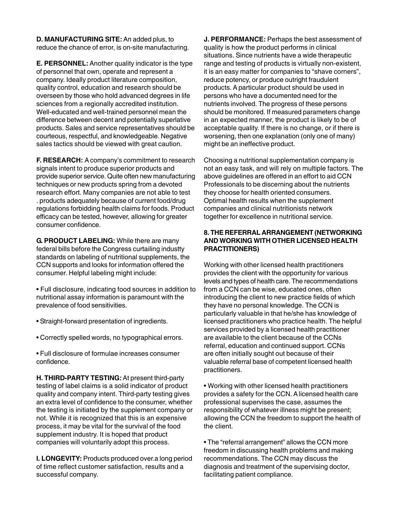**D. MANUFACTURING SITE:** An added plus, to reduce the chance of error, is on-site manufacturing.

**E. PERSONNEL:** Another quality indicator is the type of personnel that own, operate and represent a company. Ideally product literature composition, quality control, education and research should be overseen by those who hold advanced degrees in life sciences from a regionally accredited institution. Well-educated and well-trained personnel mean the difference between decent and potentially superlative products. Sales and service representatives should be courteous, respectful, and knowledgeable. Negative sales tactics should be viewed with great caution.

**F. RESEARCH:** A company's commitment to research signals intent to produce superior products and provide superior service. Quite often new manufacturing techniques or new products spring from a devoted research effort. Many companies are not able to test . products adequately because of current food/drug regulations forbidding health claims for foods. Product efficacy can be tested, however, allowing for greater consumer confidence.

**G. PRODUCT LABELING:** While there are many federal bills before the Congress curtailing industty standards on labeling of nutritional supplements, the CCN supports and looks for information offered the consumer. Helpful labeling might include:

• Full disclosure, indicating food sources in addition to nutritional assay information is paramount with the prevalence of food sensitivities.

- Straight-forward presentation of ingredients.
- Correctly spelled words, no typographical errors.
- Full disclosure of formulae increases consumer confidence.

**H. THIRD-PARTY TESTING:** At present third-party testing of label claims is a solid indicator of product quality and company intent. Third-party testing gives an extra level of confidence to the consumer, whether the testing is initiated by the supplement company or not. While it is recognized that this is an expensive process, it may be vital for the survival of the food supplement industry. It is hoped that product companies will voluntarily adopt this process.

**I. LONGEVITY:** Products produced over.a long period of time reflect customer satisfaction, results and a successful company.

**J. PERFORMANCE:** Perhaps the best assessment of quality is how the product performs in clinical situations. Since nutrients have a wide therapeutic range and testing of products is virtually non-existent, it is an easy matter for companies to "shave corners", reduce potency, or produce outright fraudulent products. A particular product should be used in persons who have a documented need for the nutrients involved. The progress of these persons should be monitored. If measured parameters change in an expected manner, the product is likely to be of acceptable quality. If there is no change, or if there is worsening, then one explanation (only one of many) might be an ineffective product.

Choosing a nutritional supplementation company is not an easy task, and will rely on multiple factors. The above guidelines are offered in an effort to aid CCN Professionals to be discerning about the nutrients they choose for health oriented consumers. Optimal health results when the supplement companies and clinical nutritionists network together for excellence in nutritional service.

## **8. THE REFERRAL ARRANGEMENT (NETWORKING AND WORKING WITH OTHER LICENSED HEALTH PRACTITIONERS)**

Working with other licensed health practitioners provides the client with the opportunity for various levels and types of health care. The recommendations from a CCN can be wise, educated ones, often introducing the client to new practice fields of which they have no personal knowledge. The CCN is particularly valuable in that he/she has knowledge of licensed practitioners who practice health. The helpful services provided by a licensed health practitioner are available to the client because of the CCNs referral, education and continued support. CCNs are often initially sought out because of their valuable referral base of competent licensed health practitioners.

• Working with other licensed health practitioners provides a safety for the CCN. A licensed health care professional supervises the case, assumes the responsibility of whatever illness might be present; allowing the CCN the freedom to support the health of the client.

• The "referral arrangement" allows the CCN more freedom in discussing health problems and making recommendations. The CCN may discuss the diagnosis and treatment of the supervising doctor, facilitating patient compliance.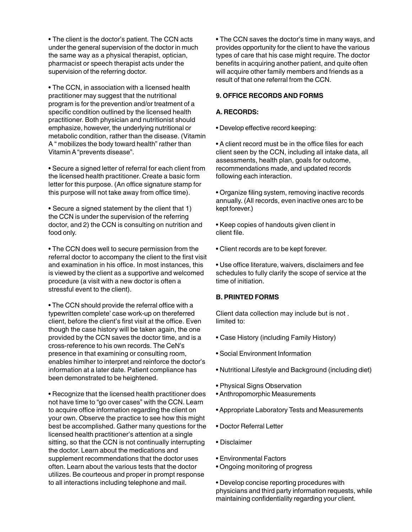• The client is the doctor's patient. The CCN acts under the general supervision of the doctor in much the same way as a physical therapist, optician, pharmacist or speech therapist acts under the supervision of the referring doctor.

• The CCN, in association with a licensed health practitioner may suggest that the nutritional program is for the prevention and/or treatment of a specific condition outlined by the licensed health practitioner. Both physician and nutritionist should emphasize, however, the underlying nutritional or metabolic condition, rather than the disease. (Vitamin A " mobilizes the body toward health" rather than Vitamin A "prevents disease".

• Secure a signed letter of referral for each client from the licensed health practitioner. Create a basic form letter for this purpose. (An office signature stamp for this purpose will not take away from office time).

• Secure a signed statement by the client that 1) the CCN is under the supervision of the referring doctor, and 2) the CCN is consulting on nutrition and food only.

• The CCN does well to secure permission from the referral doctor to accompany the client to the first visit and examination in his office. In most instances, this is viewed by the client as a supportive and welcomed procedure (a visit with a new doctor is often a stressful event to the client).

• The CCN should provide the referral office with a typewritten complete' case work-up on thereferred client, before the client's first visit at the office. Even though the case history will be taken again, the one provided by the CCN saves the doctor time, and is a cross-reference to his own records. The CeN's presence in that examining or consulting room, enables himlher to interpret and reinforce the doctor's information at a later date. Patient compliance has been demonstrated to be heightened.

• Recognize that the licensed health practitioner does not have time to "go over cases" with the CCN. Learn to acquire office information regarding the client on your own. Observe the practice to see how this might best be accomplished. Gather many questions for the licensed health practitioner's attention at a single sitting, so that the CCN is not continually interrupting the doctor. Learn about the medications and supplement recommendations that the doctor uses often. Learn about the various tests that the doctor utilizes. Be courteous and proper in prompt response to all interactions including telephone and mail.

• The CCN saves the doctor's time in many ways, and provides opportunity for the client to have the various types of care that his case might require. The doctor benefits in acquiring another patient, and quite often will acquire other family members and friends as a result of that one referral from the CCN.

# **9. OFFICE RECORDS AND FORMS**

# **A. RECORDS:**

• Develop effective record keeping:

• A client record must be in the office files for each client seen by the CCN, including all intake data, all assessments, health plan, goals for outcome, recommendations made, and updated records following each interaction.

• Organize filing system, removing inactive records annually. (All records, even inactive ones arc to be kept forever.)

• Keep copies of handouts given client in client file.

- Client records are to be kept forever.
- Use office literature, waivers, disclaimers and fee schedules to fully clarify the scope of service at the time of initiation.

# **B. PRINTED FORMS**

Client data collection may include but is not . limited to:

- Case History (including Family History)
- Social Environment Information
- Nutritional Lifestyle and Background (including diet)
- Physical Signs Observation
- Anthropomorphic Measurements
- Appropriate Laboratory Tests and Measurements
- Doctor Referral Letter
- Disclaimer
- Environmental Factors
- Ongoing monitoring of progress

• Develop concise reporting procedures with physicians and third party information requests, while maintaining confidentiality regarding your client.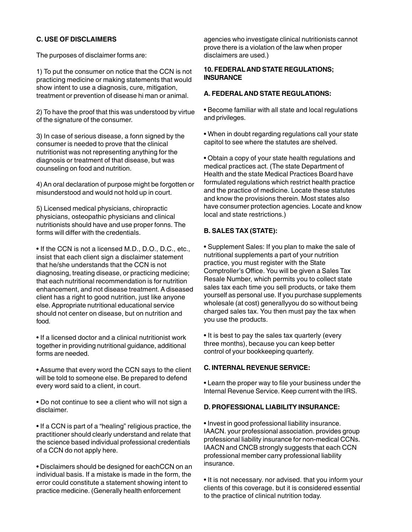# **C. USE OF DISCLAIMERS**

The purposes of disclaimer forms are:

1) To put the consumer on notice that the CCN is not practicing medicine or making statements that would show intent to use a diagnosis, cure, mitigation, treatment or prevention of disease hi man or animal.

2) To have the proof that this was understood by virtue of the signature of the consumer.

3) In case of serious disease, a fonn signed by the consumer is needed to prove that the clinical nutritionist was not representing anything for the diagnosis or treatment of that disease, but was counseling on food and nutrition.

4) An oral declaration of purpose might be forgotten or misunderstood and would not hold up in court.

5) Licensed medical physicians, chiropractic physicians, osteopathic physicians and clinical nutritionists should have and use proper fonns. The forms will differ with the credentials.

• If the CCN is not a licensed M.D., D.O., D.C., etc., insist that each client sign a disclaimer statement that he/she understands that the CCN is not diagnosing, treating disease, or practicing medicine; that each nutritional recommendation is for nutrition enhancement, and not disease treatment. A diseased client has a right to good nutrition, just like anyone else. Appropriate nutritional educational service should not center on disease, but on nutrition and food.

• If a licensed doctor and a clinical nutritionist work together in providing nutritional guidance, additional forms are needed.

• Assume that every word the CCN says to the client will be told to someone else. Be prepared to defend every word said to a client, in court.

• Do not continue to see a client who will not sign a disclaimer.

• If a CCN is part of a "healing" religious practice, the practitioner should clearly understand and relate that the science based individual professional credentials of a CCN do not apply here.

• Disclaimers should be designed for eachCCN on an individual basis. If a mistake is made in the form, the error could constitute a statement showing intent to practice medicine. (Generally health enforcement

agencies who investigate clinical nutritionists cannot prove there is a violation of the law when proper disclaimers are used.)

## **10. FEDERAL AND STATE REGULATIONS; INSURANCE**

# **A. FEDERAL AND STATE REGULATIONS:**

• Become familiar with all state and local regulations and privileges.

• When in doubt regarding regulations call your state capitol to see where the statutes are shelved.

• Obtain a copy of your state health regulations and medical practices act. (The state Department of Health and the state Medical Practices Board have formulated regulations which restrict health practice and the practice of medicine. Locate these statutes and know the provisions therein. Most states also have consumer protection agencies. Locate and know local and state restrictions.)

# **B. SALES TAX (STATE):**

• Supplement Sales: If you plan to make the sale of nutritional supplements a part of your nutrition practice, you must register with the State Comptroller's Office. You will be given a Sales Tax Resale Number, which permits you to collect state sales tax each time you sell products, or take them yourself as personal use. If you purchase supplements wholesale (at cost) generallyyou do so without being charged sales tax. You then must pay the tax when you use the products.

• It is best to pay the sales tax quarterly (every three months), because you can keep better control of your bookkeeping quarterly.

# **C. INTERNAL REVENUE SERVICE:**

• Learn the proper way to file your business under the Internal Revenue Service. Keep current with the IRS.

# **D. PROFESSIONAL LIABILITY INSURANCE:**

• Invest in good professional liability insurance. IAACN. your professional association. provides group professional liability insurance for non-medical CCNs. IAACN and CNCB strongly suggests that each CCN professional member carry professional liability insurance.

• It is not necessary. nor advised. that you inform your clients of this coverage. but it is considered essential to the practice of clinical nutrition today.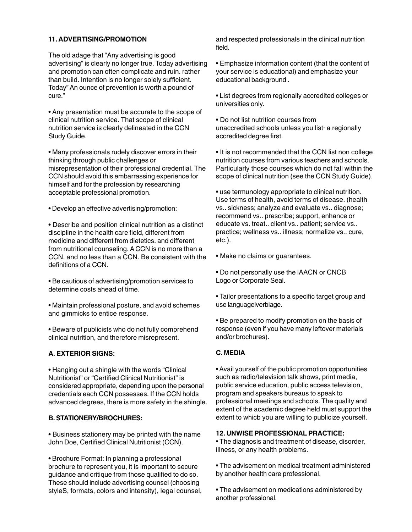# **11. ADVERTISING/PROMOTION**

The old adage that "Any advertising is good advertising" is clearly no longer true. Today advertising and promotion can often complicate and ruin. rather than build. Intention is no longer solely sufficient. Today" An ounce of prevention is worth a pound of cure."

• Any presentation must be accurate to the scope of clinical nutrition service. That scope of clinical nutrition service is clearly delineated in the CCN Study Guide.

• Many professionals rudely discover errors in their thinking through public challenges or misrepresentation of their professional credential. The CCN should avoid this embarrassing experience for himself and for the profession by researching acceptable professional promotion.

• Develop an effective advertising/promotion:

• Describe and position clinical nutrition as a distinct discipline in the health care field, different from medicine and different from dietetics. and different from nutritional counseling. A CCN is no more than a CCN, and no less than a CCN. Be consistent with the definitions of a CCN.

• Be cautious of advertising/promotion services to determine costs ahead of time.

• Maintain professional posture, and avoid schemes and gimmicks to entice response.

• Beware of publicists who do not fully comprehend clinical nutrition, and therefore misrepresent.

# **A. EXTERIOR SIGNS:**

• Hanging out a shingle with the words "Clinical Nutritionist" or "Certified Clinical Nutritionist" is considered appropriate, depending upon the personal credentials each CCN possesses. If the CCN holds advanced degrees, there is more safety in the shingle.

#### **B. STATIONERY/BROCHURES:**

• Business stationery may be printed with the name John Doe, Certified Clinical Nutritionist (CCN).

• Brochure Format: In planning a professional brochure to represent you, it is important to secure guidance and critique from those qualified to do so. These should include advertising counsel (choosing styleS, formats, colors and intensity), legal counsel, and respected professionals in the clinical nutrition field.

• Emphasize information content (that the content of your service is educational) and emphasize your educational background .

• List degrees from regionally accredited colleges or universities only.

• Do not list nutrition courses from unaccredited schools unless you list· a regionally accredited degree first.

• It is not recommended that the CCN list non college nutrition courses from various teachers and schools. Particularly those courses which do not fall within the scope of clinical nutrition (see the CCN Study Guide).

• use termunology appropriate to clinical nutrition. Use terms of health, avoid terms of disease. (health vs.. sickness; analyze and evaluate vs.. diagnose; recommend vs.. prescribe; support, enhance or educate vs. treat.. client vs.. patient; service vs.. practice; wellness vs.. illness; normalize vs.. cure, etc.).

• Make no claims or guarantees.

• Do not personally use the lAACN or CNCB Logo or Corporate Seal.

• Tailor presentations to a specific target group and use languagelverbiage.

• Be prepared to modify promotion on the basis of response (even if you have many leftover materials and/or brochures).

# **C. MEDIA**

• Avail yourself of the public promotion opportunities such as radio/television talk shows, print media, public service education, public access television, program and speakers bureaus to speak to professional meetings and schools. The quality and extent of the academic degree held must support the extent to whicb you are willing to publicize yourself.

#### **12. UNWISE PROFESSIONAL PRACTICE:**

• The diagnosis and treatment of disease, disorder, illness, or any health problems.

• The advisement on medical treatment administered by another health care professional.

• The advisement on medications administered by another professional.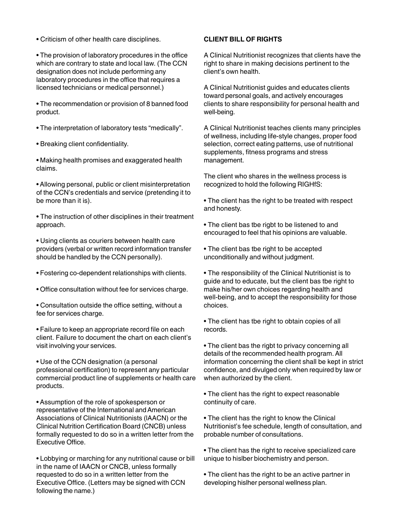• Criticism of other health care disciplines.

• The provision of laboratory procedures in the office which are contrary to state and local law. (The CCN designation does not include performing any laboratory procedures in the office that requires a licensed technicians or medical personnel.)

• The recommendation or provision of 8 banned food product.

- The interpretation of laboratory tests "medically".
- Breaking client confidentiality.

• Making health promises and exaggerated health claims.

• Allowing personal, public or client misinterpretation of the CCN's credentials and service (pretending it to be more than it is).

• The instruction of other disciplines in their treatment approach.

• Using clients as couriers between health care providers (verbal or written record information transfer should be handled by the CCN personally).

- Fostering co-dependent relationships with clients.
- Office consultation without fee for services charge.
- Consultation outside the office setting, without a fee for services charge.

• Failure to keep an appropriate record file on each client. Failure to document the chart on each client's visit involving your services.

• Use of the CCN designation (a personal professional certification) to represent any particular commercial product line of supplements or health care products.

• Assumption of the role of spokesperson or representative of the International and American Associations of Clinical Nutritionists (lAACN) or the Clinical Nutrition Certification Board (CNCB) unless formally requested to do so in a written letter from the Executive Office.

• Lobbying or marching for any nutritional cause or bill in the name of IAACN or CNCB, unless formally requested to do so in a written letter from the Executive Office. (Letters may be signed with CCN following the name.)

#### **CLIENT BILL OF RIGHTS**

A Clinical Nutritionist recognizes that clients have the right to share in making decisions pertinent to the client's own health.

A Clinical Nutritionist guides and educates clients toward personal goals, and actively encourages clients to share responsibility for personal health and well-being.

A Clinical Nutritionist teaches clients many principles of wellness, including life-style changes, proper food selection, correct eating patterns, use of nutritional supplements, fitness programs and stress management.

The client who shares in the wellness process is recognized to hold the following RIGHfS:

• The client has the right to be treated with respect and honesty.

• The client bas tbe rigbt to be listened to and encouraged to feel that his opinions are valuable.

• The client bas tbe right to be accepted unconditionally and without judgment.

• The responsibility of the Clinical Nutritionist is to guide and to educate, but the client bas tbe right to make his/her own choices regarding health and well-being, and to accept the responsibility for those choices.

• The client has tbe right to obtain copies of all records.

• The client bas the rigbt to privacy concerning all details of the recommended health program. All information concerning the client shall be kept in strict confidence, and divulged only when required by law or when authorized by the client.

• The client has the right to expect reasonable continuity of care.

• The client has the right to know the Clinical Nutritionist's fee schedule, length of consultation, and probable number of consultations.

• The client has the right to receive specialized care unique to hislber biochemistry and person.

• The client has the right to be an active partner in developing hislher personal wellness plan.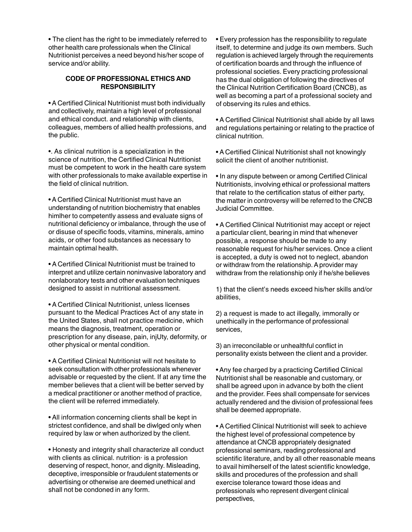• The client has the right to be immediately referred to other health care professionals when the Clinical Nutritionist perceives a need beyond his/her scope of service and/or ability.

### **CODE OF PROFESSIONAL ETHICS AND RESPONSIBILITY**

• A Certified Clinical Nutritionist must both individually and collectively, maintain a high level of professional and ethical conduct. and relationship with clients, colleagues, members of allied health professions, and the public.

•. As clinical nutrition is a specialization in the science of nutrition, the Certified Clinical Nutritionist must be competent to work in the health care system with other professionals to make available expertise in the field of clinical nutrition.

• A Certified Clinical Nutritionist must have an understanding of nutrition biochemistry that enables himlher to competently assess and evaluate signs of nutritional deficiency or imbalance, through the use of or disuse of specific foods, vitamins, minerals, amino acids, or other food substances as necessary to maintain optimal health.

• A Certified Clinical Nutritionist must be trained to interpret and utilize certain noninvasive laboratory and nonlaboratory tests and other evaluation techniques designed to assist in nutritional assessment.

• A Certified Clinical Nutritionist, unless licenses pursuant to the Medical Practices Act of any state in the United States, shall not practice medicine, which means the diagnosis, treatment, operation or prescription for any disease, pain, injUty, deformity, or other physical or mental condition.

• A Certified Clinical Nutritionist will not hesitate to seek consultation with other professionals whenever advisable or requested by the client. If at any time the member believes that a client will be better served by a medical practitioner or another method of practice, the client will be referred immediately.

• All information concerning clients shall be kept in strictest confidence, and shall be diwlged only when required by law or when authorized by the client.

• Honesty and integrity shall characterize all conduct with clients as clinical. nutrition· is a profession deserving of respect, honor, and dignity. Misleading, deceptive, irresponsible or fraudulent statements or advertising or otherwise are deemed unethical and shall not be condoned in any form.

• Every profession has the responsibility to regulate itself, to determine and judge its own members. Such regulation is achieved largely through the requirements of certification boards and through the influence of professional societies. Every practicing professional has the dual obligation of following the directives of the Clinical Nutrition Certification Board (CNCB), as well as becoming a part of a professional society and of observing its rules and ethics.

• A Certified Clinical Nutritionist shall abide by all laws and regulations pertaining or relating to the practice of clinical nutrition.

• A Certified Clinical Nutritionist shall not knowingly solicit the client of another nutritionist.

• In any dispute between or among Certified Clinical Nutritionists, involving ethical or professional matters that relate to the certification status of either party, the matter in controversy will be referred to the CNCB Judicial Committee.

• A Certified Clinical Nutritionist may accept or reject a particular client, bearing in mind that whenever possible, a response should be made to any reasonable request for his/her services. Once a client is accepted, a duty is owed not to neglect, abandon or withdraw from the relationship. A provider may withdraw from the relationship only if he/she believes

1) that the client's needs exceed his/her skills and/or abilities,

2) a request is made to act illegally, immorally or unethically in the performance of professional services,

3) an irreconcilable or unhealthful conflict in personality exists between the client and a provider.

• Any fee charged by a practicing Certified Clinical Nutritionist shall be reasonable and customary, or shall be agreed upon in advance by both the client and the provider. Fees shall compensate for services actually rendered and the division of professional fees shall be deemed appropriate.

• A Certified Clinical Nutritionist will seek to achieve the highest level of professional competence by attendance at CNCB appropriately designated professional seminars, reading professional and scientific literature, and by all other reasonable means to avail himlherself of the latest scientific knowledge, skills and procedures of the profession and shall exercise tolerance toward those ideas and professionals who represent divergent clinical perspectives,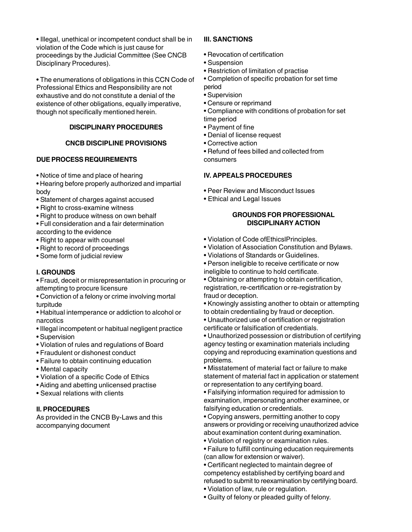• Illegal, unethical or incompetent conduct shall be in violation of the Code which is just cause for proceedings by the Judicial Committee (See CNCB Disciplinary Procedures).

• The enumerations of obligations in this CCN Code of Professional Ethics and Responsibility are not exhaustive and do not constitute a denial of the existence of other obligations, equally imperative, though not specifically mentioned herein.

# **DISCIPLINARY PROCEDURES**

# **CNCB DISCIPLINE PROVISIONS**

# **DUE PROCESS REQUIREMENTS**

- Notice of time and place of hearing
- Hearing before properly authorized and impartial body
- Statement of charges against accused
- Right to cross-examine witness
- Right to produce witness on own behalf
- Full consideration and a fair determination according to the evidence
- Right to appear with counsel
- Right to record of proceedings
- Some form of judicial review

# **I. GROUNDS**

• Fraud, deceit or misrepresentation in procuring or attempting to procure licensure

• Conviction of a felony or crime involving mortal turpitude

• Habitual intemperance or addiction to alcohol or narcotics

- Illegal incompetent or habitual negligent practice
- Supervision
- Violation of rules and regulations of Board
- Fraudulent or dishonest conduct
- Failure to obtain continuing education
- Mental capacity
- Violation of a specific Code of Ethics
- Aiding and abetting unlicensed practise
- Sexual relations with clients

# **II. PROCEDURES**

As provided in the CNCB By-Laws and this accompanying document

# **III. SANCTIONS**

- Revocation of certification
- Suspension
- Restriction of limitation of practise
- Completion of specific probation for set time
- period • Supervision
- Censure or reprimand
- Compliance with conditions of probation for set time period
- Payment of fine
- Denial of license request
- Corrective action
- Refund of fees billed and collected from consumers

# **IV. APPEALS PROCEDURES**

- Peer Review and Misconduct Issues
- Ethical and Legal Issues

## **GROUNDS FOR PROFESSIONAL DISCIPLINARY ACTION**

- Violation of Code ofEthicslPrinciples.
- Violation of Association Constitution and Bylaws.
- Violations of Standards or Guidelines.

• Person ineligible to receive certificate or now ineligible to continue to hold certificate.

• Obtaining or attempting to obtain certification, registration, re-certification or re-registration by fraud or deception.

• Knowingly assisting another to obtain or attempting to obtain credentialing by fraud or deception.

- Unauthorized use of certification or registration certificate or falsification of credentials.
- Unauthorized possession or distribution of certifying agency testing or examination materials including copying and reproducing examination questions and problems.

• Misstatement of material fact or failure to make statement of material fact in application or statement or representation to any certifying board.

• Falsifying information required for admission to examination, impersonating another examinee, or falsifying education or credentials.

• Copying answers, permitting another to copy answers or providing or receiving unauthorized advice about examination content during examination.

• Violation of registry or examination rules.

• Failure to fulfill continuing education requirements (can allow for extension or waiver).

• Certificant neglected to maintain degree of competency established by certifying board and refused to submit to reexamination by certifying board.

• Violation of law, rule or regulation.

• Guilty of felony or pleaded guilty of felony.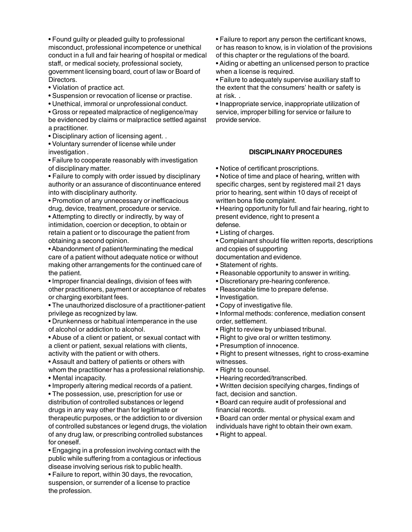• Found guilty or pleaded guilty to professional misconduct, professional incompetence or unethical conduct in a full and fair hearing of hospital or medical staff, or medical society, professional society, government licensing board, court of law or Board of Directors.

- Violation of practice act.
- Suspension or revocation of license or practise.
- Unethical, immoral or unprofessional conduct.

• Gross or repeated malpractice of negligence/may be evidenced by claims or malpractice settled against a practitioner.

• Disciplinary action of licensing agent. .

• Voluntary surrender of license while under investigation .

• Failure to cooperate reasonably with investigation of disciplinary matter.

• Failure to comply with order issued by disciplinary authority or an assurance of discontinuance entered into with disciplinary authority.

• Promotion of any unnecessary or inefficacious drug, device, treatment, procedure or service.

• Attempting to directly or indirectly, by way of intimidation, coercion or deception, to obtain or retain a patient or to discourage the patient from obtaining a second opinion.

• Abandonment of patient/terminating the medical care of a patient without adequate notice or without making other arrangements for the continued care of the patient.

• Improper financial dealings, division of fees with other practitioners, payment or acceptance of rebates or charging exorbitant fees.

• The unauthorized disclosure of a practitioner-patient privilege as recognized by law.

• Drunkenness or habitual intemperance in the use of alcohol or addiction to alcohol.

• Abuse of a client or patient, or sexual contact with a client or patient, sexual relations with clients, activity with the patient or with others.

• Assault and battery of patients or others with whom the practitioner has a professional relationship.

- Mental incapacity.
- Improperly altering medical records of a patient.

• The possession, use, prescription for use or distribution of controlled substances or legend drugs in any way other than for legitimate or therapeutic purposes, or the addiction to or diversion of controlled substances or legend drugs, the violation of any drug law, or prescribing controlled substances for oneself.

• Engaging in a profession involving contact with the public while suffering from a contagious or infectious disease involving serious risk to public health.

• Failure to report, within 30 days, the revocation, suspension, or surrender of a license to practice the profession.

• Failure to report any person the certificant knows, or has reason to know, is in violation of the provisions of this chapter or the regulations of the board.

• Aiding or abetting an unlicensed person to practice when a license is required.

• Failure to adequately supervise auxiliary staff to the extent that the consumers' health or safety is at risk. .

• Inappropriate service, inappropriate utilization of service, improper billing for service or failure to provide service.

# **DISCIPLINARY PROCEDURES**

• Notice of certificant proscriptions.

• Notice of time and place of hearing, written with specific charges, sent by registered mail 21 days prior to hearing, sent within 10 days of receipt of written bona fide complaint.

• Hearing opportunity for full and fair hearing, right to present evidence, right to present a defense.

• Listing of charges.

• Complainant should file written reports, descriptions and copies of supporting

documentation and evidence.

- Statement of rights.
- Reasonable opportunity to answer in writing.
- Discretionary pre-hearing conference.
- Reasonable time to prepare defense.
- Investigation.
- Copy of investigative file.

• Informal methods: conference, mediation consent order, settlement.

- Right to review by unbiased tribunal.
- Right to give oral or written testimony.
- Presumption of innocence.

• Right to present witnesses, right to cross-examine witnesses.

- Right to counsel.
- Hearing recorded/transcribed.

• Written decision specifying charges, findings of fact, decision and sanction.

• Board can require audit of professional and financial records.

• Board can order mental or physical exam and individuals have right to obtain their own exam.

• Right to appeal.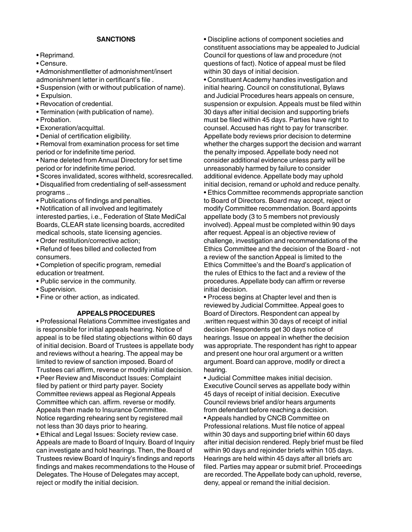#### **SANCTIONS**

- Reprimand.
- Censure.

• Admonishmentlletter of admonishment/insert admonishment letter in certificant's file .

- Suspension (with or without publication of name).
- Expulsion.
- Revocation of credential.
- Termination (with publication of name).
- Probation.
- Exoneration/acquittal.
- Denial of certification eligibility.

• Removal from examination process for set time period or for indefinite time period.

• Name deleted from Annual Directory for set time period or for indefinite time period.

• Scores invalidated, scores withheld, scoresrecalled.

• Disqualified from credentialing of self-assessment programs ..

• Publications of findings and penalties.

• Notification of all involved and legitimately interested parties, i.e., Federation of State MediCal Boards, CLEAR state licensing boards, accredited medical schools, state licensing agencies.

• Order restitution/corrective action;

• Refund of fees billed and collected from consumers.

- Completion of specific program, remedial education or treatment.
- Public service in the community.
- Supervision.
- Fine or other action, as indicated.

#### **APPEALS PROCEDURES**

• Professional Relations Committee investigates and is responsible for initial appeals hearing. Notice of appeal is to be filed stating objections within 60 days of initial decision. Board of Trustees is appellate body and reviews without a hearing. The appeal may be limited to review of sanction imposed. Board of Trustees cari affirm, reverse or modify initial decision. • Peer Review and Misconduct Issues: Complaint filed by patient or third party payer. Society Committee reviews appeal as Regional Appeals Committee which can. affirm. reverse or modify. Appeals then made to Insurance Committee. Notice regarding rehearing sent by registered mail not less than 30 days prior to hearing.

• Ethical and Legal Issues: Society review case. Appeals are made to Board of Inquiry. Board of Inquiry can investigate and hold hearings. Then, the Board of Trustees review Board of Inquiry's findings and reports findings and makes recommendations to the House of Delegates. The House of Delegates may accept, reject or modify the initial decision.

• Discipline actions of component societies and constituent associations may be appealed to Judicial Council for questions of law and procedure (not questions of fact). Notice of appeal must be filed within 30 days of initial decision.

• Constituent Academy handles investigation and initial hearing. Council on constitutional, Bylaws and Judicial Procedures hears appeals on censure, suspension or expulsion. Appeals must be filed within 30 days after initial decision and supporting briefs must be filed within 45 days. Parties have right to counsel. Accused has right to pay for transcriber. Appellate body reviews prior decision to determine whether the charges support the decision and warrant the penalty imposed. Appellate body need not consider additional evidence unless party will be unreasonably harmed by failure to consider additional evidence. Appellate body may uphold initial decision, remand or uphold and reduce penalty.

• Ethics Committee recommends appropriate sanction to Board of Directors. Board may accept, reject or modify Committee recommendation. Board appoints appellate body (3 to 5 members not previously involved). Appeal must be completed within 90 days after request. Appeal is an objective review of challenge, investigation and recommendations of the Ethics Committee and the decision of the Board - not a review of the sanction Appeal is limited to the Ethics Committee's and the Board's application of the rules of Ethics to the fact and a review of the procedures. Appellate body can affirm or reverse initial decision.

• Process begins at Chapter level and then is reviewed by Judicial Committee. Appeal goes to Board of Directors. Respondent can appeal by .written request within 30 days of receipt of initial decision Respondents get 30 days notice of hearings. Issue on appeal in whether the decision was appropriate. The respondent has right to appear and present one hour oral argument or a written argument. Board can approve, modify or direct a hearing.

• Judicial Committee makes initial decision. Executive Council serves as appellate body within 45 days of receipt of initial decision. Executive Council reviews brief and/or hears arguments from defendant before reaching a decision.

• Appeals handled by CNCB Committee on Professional relations. Must file notice of appeal within 30 days and supporting brief within 60 days after initial decision rendered. Reply brief must be filed within 90 days and rejoinder briefs within 105 days. Hearings are held within 45 days after all briefs arc filed. Parties may appear or submit brief. Proceedings are recorded. The Appellate body can uphold, reverse, deny, appeal or remand the initial decision.